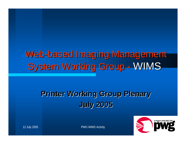#### Web-based Imaging Management **System Working Group** - WIMS

#### **Printer Working Group Plenary Printer Working Group Plenary July 2005 July 2005**



12 July 2005 PWG WIMS Activity 1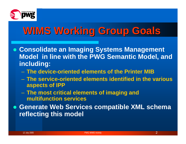

## **WIMS Working Group Goals WIMS Working Group Goals**

- **Consolidate an Imaging Systems Management Model in line with the PWG Semantic Model, and including:**
	- **The device-oriented elements of the Printer MIB**
	- **The service-oriented elements identified in the various aspects of IPP**
	- – **The most critical elements of imaging and multifunction services**
- **Generate Web Services compatible XML schema reflecting this model**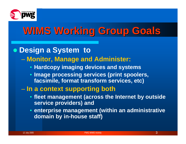

# **WIMS Working Group Goals WIMS Working Group Goals**

#### z **Design a System to**

- **Monitor, Manage and Administer:**
	- **Hardcopy imaging devices and systems**
	- **Image processing services (print spoolers, facsimile, format transform services, etc)**

#### $\mathcal{L}_{\mathcal{A}}$  , and the set of the set of the set of the set of the set of the set of the set of the set of the set of the set of the set of the set of the set of the set of the set of the set of the set of the set of th **In a context supporting both**

- **fleet management (across the Internet by outside service providers) and**
- **enterprise management (within an administrative domain by in-house staff)**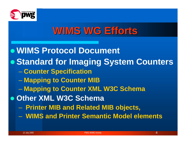

## **WIMS WG Efforts**

<sup>z</sup>**WIMS Protocol Document • Standard for Imaging System Counters Counter Specification Mapping to Counter MIB Mapping to Counter XML W3C Schema**  $\bullet$  **Other XML W3C Schema** – Paris Paris II.<br>Politika **Printer MIB and Related MIB objects,**  – **WIMS and Printer Semantic Model elements**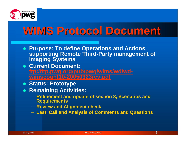

# **WIMS Protocol Document WIMS Protocol Document**

- **Purpose: To define Operations and Actions supporting Remote Third-Party management of Imaging Systems**
- **Current Document: [ftp://ftp.pwg.org/pub/pwg/wims/wd/wd](ftp://ftp.pwg.org/pub/pwg/wims/wd/wd-wimscount10-20050323rev.pdf)[wimscount10-20050323rev.pdf](ftp://ftp.pwg.org/pub/pwg/wims/wd/wd-wimscount10-20050323rev.pdf)**
- **Status: Prototype**
- **Remaining Activities:** 
	- **Refinement and update of section 3, Scenarios and Requirements**
	- **Review and Alignment check**
	- **Last Call and Analysis of Comments and Questions**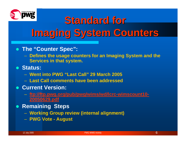

# **Standard for Imaging System Counters Imaging System Counters**

- **The "Counter Spec":** 
	- **Defines the usage counters for an Imaging System and the Services in that system.**
- z **Status:**
	- **Went into PWG "Last Call" 29 March 2005**
	- **Last Call comments have been addressed**
- **Current Version:** 
	- **[ftp://ftp.pwg.org/pub/pwg/wims/wd/lcrc-wimscount10-](ftp://ftp.pwg.org/pub/pwg/wims/wd/lcrc-wimscount10-20050629.pdf) [20050629.pdf](ftp://ftp.pwg.org/pub/pwg/wims/wd/lcrc-wimscount10-20050629.pdf)**
- **Remaining Steps** 
	- **Working Group review (internal alignment)**
	- **PWG Vote - August**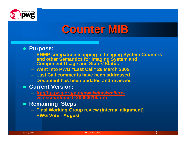

# **Counter MIB Counter MIB**

#### **• Purpose:**

- **SNMP compatible mapping of Imaging System Counters and other Semantics for Imaging System and Component Usage and Status\Status:**
- **Went into PWG "Last Call" 29 March 2005**
- **Last Call comments have been addressed**
- **Document has been updated and revie wed**
- **Current Version:** 
	- **[ftp://ftp.pwg.org/pub/pwg/wims/wd/lcrc](ftp://ftp.pwg.org/pub/pwg/wims/wd/lcrc-wimscountmib10-20050616.htm)[wimscountmib10-20050616.htm](ftp://ftp.pwg.org/pub/pwg/wims/wd/lcrc-wimscountmib10-20050616.htm)**
- **Remaining Steps** 
	- **Final Working Group review (internal alignment)**
	- **PWG Vote - August**